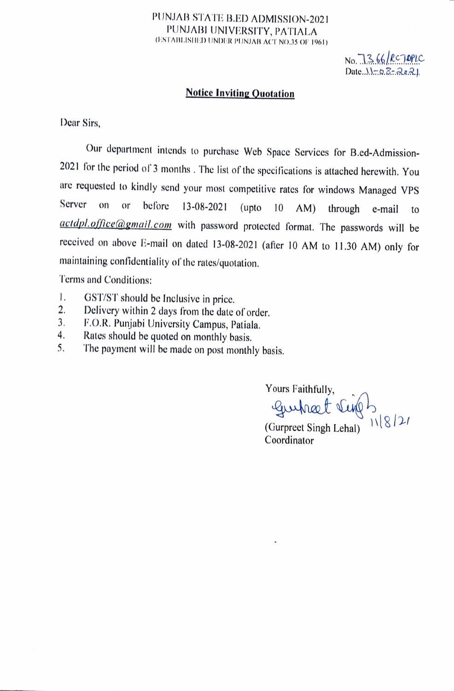## PUNJAB STATE B.ED ADMISSION-2021 PUNJABI UNIVERSITY, PATIALA (ESTABLISHED UNDER PUNJAB ACT NO.35 OF 1961)

No. 7366/RCTOPLC  $Date.$ 

## Notice Inviting Quotation

Dear Sirs,

Our department intends to purchase Web Space Services for B.ed-Admission-2021 for the period of 3 months . The list of the specifications is attached herewith. You are requested to kindly send your most competitive rates for windows Managed VPS Server on or before 13-08-2021 (upto 10 AM) through e-mail to actdpl.office@gmail.com with password protected format. The passwords will be received on above E-mail on dated 13-08-2021 (after 10 AM to 11.30 AM) only for maintaining confidentiality of the rates/quotation.

Terms and Conditions:

- 
- 1. GST/ST should be Inclusive in price.<br>2. Delivery within 2 days from the date of order. 2.
- F.O.R. Punjabi University Campus, Patiala. 3.
- Rates should be quoted on monthly basis. 4.
- The payment will be made on post monthly basis. 5.

Yours Faithfully, Gurhart V

(Gurpreet Singh Lehal)  $118/27$ Coordinator